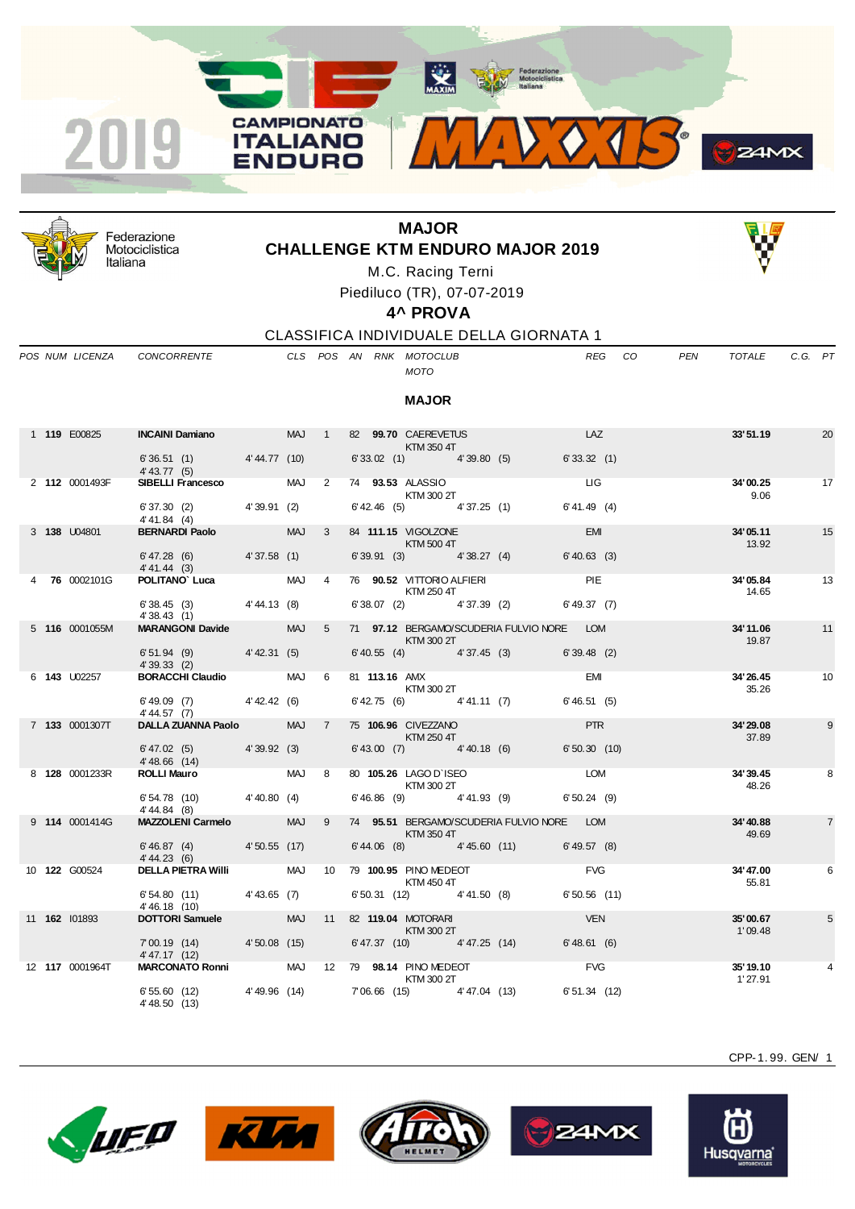



Federazione Motociclistica Italiana

## **MAJOR CHALLENGE KTM ENDURO MAJOR 2019**



M.C. Racing Terni

Piediluco (TR), 07-07-2019

**4^ PROVA**

*MOTO*

**MAJOR**

CLASSIFICA INDIVIDUALE DELLA GIORNATA 1

*POS NUM LICENZA CONCORRENTE CLS POS AN RNK MOTOCLUB REG CO PEN TOTALE C.G. PT*

| 1 119 E00825   | <b>INCAINI Damiano</b>       |              | <b>MAJ</b> |               | 99.70 CAEREVETUS<br>82<br>KTM 350 4T |            | LAZ            | 33'51.19          | 20 |
|----------------|------------------------------|--------------|------------|---------------|--------------------------------------|------------|----------------|-------------------|----|
|                | 6'36.51(1)<br>$4' 43.77$ (5) | 4'44.77 (10) |            |               | 6'33.02(1)                           | 4'39.80(5) | 6'33.32(1)     |                   |    |
| 2 112 0001493F | <b>SIBELLI Francesco</b>     |              | <b>MAJ</b> | $\mathcal{P}$ | 93.53 ALASSIO<br>74<br>KTM 300 2T    |            | ЦG             | 34'00.25<br>9.06  | 17 |
|                | 6'37.30(2)<br>4' 41.84 (4)   | 4'39.91(2)   |            |               | $6'$ 42.46 (5)                       | 4'37.25(1) | $6' 41.49$ (4) |                   |    |
| 3 138 U04801   | <b>BERNARDI Paolo</b>        |              | <b>MAJ</b> | $\mathcal{B}$ | 84 111.15 VIGOLZONE<br>KTM 500 4T    |            | <b>EMI</b>     | 34'05.11<br>13.92 | 15 |
|                | 6' 47.28(6)                  | 4'37.58(1)   |            |               | 6'39.91(3)                           | 4'38.27(4) | $6' 40.63$ (3) |                   |    |

|  | 2 112 0001493F       | <b>SIBELLI Francesco</b>                                                  |  |                | MAJ 2 74 <b>93.53</b> ALASSIO<br>KTM 300 2T                                                                                                                                                                                                                                                                                                                                                                                                                                                |                                                           | LIG            |            | 34'00.25<br>9.06    | 17             |
|--|----------------------|---------------------------------------------------------------------------|--|----------------|--------------------------------------------------------------------------------------------------------------------------------------------------------------------------------------------------------------------------------------------------------------------------------------------------------------------------------------------------------------------------------------------------------------------------------------------------------------------------------------------|-----------------------------------------------------------|----------------|------------|---------------------|----------------|
|  |                      | 6' 37.30 (2) 4' 39.91 (2)<br>$4' 41.84$ (4)                               |  |                |                                                                                                                                                                                                                                                                                                                                                                                                                                                                                            | $6'$ 42.46 (5) $4'$ 37.25 (1) $6'$ 41.49 (4)              |                |            |                     |                |
|  | 3 138 U04801         | BERNARDI Paolo MAJ                                                        |  | $3^{\circ}$    | <b>KTM 500 4T</b>                                                                                                                                                                                                                                                                                                                                                                                                                                                                          | 84 111.15 VIGOLZONE                                       | <b>EMI</b>     |            | 34'05.11<br>13.92   | 15             |
|  |                      | $6'47.28$ (6) $4'37.58$ (1)<br>4' 41.44 (3)                               |  |                |                                                                                                                                                                                                                                                                                                                                                                                                                                                                                            | $6'39.91$ (3) $4'38.27$ (4)                               | $6' 40.63$ (3) |            |                     |                |
|  | 4 76 0002101G        | <b>POLITANO' Luca</b> MAJ                                                 |  | $\overline{4}$ | KTM 250 4T                                                                                                                                                                                                                                                                                                                                                                                                                                                                                 | 76 90.52 VITTORIO ALFIERI PIE                             |                |            | 34'05.84<br>14.65   | 13             |
|  |                      | $6'38.45(3)$ $4'44.13(8)$<br>4'38.43(1)                                   |  |                |                                                                                                                                                                                                                                                                                                                                                                                                                                                                                            | 6' 38.07 (2) 4' 37.39 (2) 6' 49.37 (7)                    |                |            |                     |                |
|  | 5 116 0001055M       | <b>MARANGONI Davide MAJ</b>                                               |  | 5 <sup>7</sup> | $\blacksquare$ $\blacksquare$ $\blacksquare$ $\blacksquare$ $\blacksquare$ $\blacksquare$ $\blacksquare$ $\blacksquare$ $\blacksquare$ $\blacksquare$ $\blacksquare$ $\blacksquare$ $\blacksquare$ $\blacksquare$ $\blacksquare$                                                                                                                                                                                                                                                           | 71 97.12 BERGAMO/SCUDERIA FULVIO NORE LOM                 |                |            | 34'11.06<br>19.87   | 11             |
|  |                      | $6'51.94$ (9) $4'42.31$ (5)<br>4'39.33(2)                                 |  |                |                                                                                                                                                                                                                                                                                                                                                                                                                                                                                            | 6' 40.55 (4) 4' 37.45 (3) 6' 39.48 (2)                    |                |            |                     |                |
|  | 6 <b>143</b> U02257  |                                                                           |  |                | <b>KTM 300 2T</b>                                                                                                                                                                                                                                                                                                                                                                                                                                                                          |                                                           |                | <b>EMI</b> | 34'26.45<br>35.26   | 10             |
|  |                      | $6' 49.09$ (7) $4' 42.42$ (6)<br>4'44.57 (7)                              |  |                |                                                                                                                                                                                                                                                                                                                                                                                                                                                                                            | $6'$ 42.75 (6) $4'$ 41.11 (7) $6'$ 46.51 (5)              |                |            |                     |                |
|  | 7 133 0001307T       | DALLA ZUANNA Paolo MAJ                                                    |  | 7              | $\blacksquare$ $\blacksquare$ $\blacksquare$ $\blacksquare$ $\blacksquare$ $\blacksquare$ $\blacksquare$ $\blacksquare$ $\blacksquare$ $\blacksquare$ $\blacksquare$ $\blacksquare$ $\blacksquare$ $\blacksquare$ $\blacksquare$ $\blacksquare$ $\blacksquare$ $\blacksquare$ $\blacksquare$ $\blacksquare$ $\blacksquare$ $\blacksquare$ $\blacksquare$ $\blacksquare$ $\blacksquare$ $\blacksquare$ $\blacksquare$ $\blacksquare$ $\blacksquare$ $\blacksquare$ $\blacksquare$ $\blacks$ | 75 106.96 CIVEZZANO <b>Anti-American Structure (1994)</b> |                | <b>PTR</b> | 34'29.08<br>37.89   | 9              |
|  |                      | $6' 47.02$ (5) $4' 39.92$ (3)<br>4'48.66 (14)<br><b>ROLLI Mauro</b> MAJ 8 |  |                |                                                                                                                                                                                                                                                                                                                                                                                                                                                                                            | 6' 43.00 (7) 4' 40.18 (6) 6' 50.30 (10)                   |                |            |                     |                |
|  | 8 128 0001233R       |                                                                           |  |                | KTM 300 2T                                                                                                                                                                                                                                                                                                                                                                                                                                                                                 | 80 105.26 LAGO D'ISEO LOM                                 |                |            | 34'39.45<br>48.26   | 8              |
|  |                      | 6' 54.78 (10) 4' 40.80 (4)<br>4' 44.84 (8)                                |  |                |                                                                                                                                                                                                                                                                                                                                                                                                                                                                                            | 6' 46.86 (9) 4' 41.93 (9) 6' 50.24 (9)                    |                |            |                     |                |
|  | 9 114 0001414G       | MAZZOLENI Carmelo MAJ                                                     |  | 9              | KTM 350 4T                                                                                                                                                                                                                                                                                                                                                                                                                                                                                 | 74 95.51 BERGAMO/SCUDERIA FULVIO NORE LOM                 |                |            | 34'40.88<br>49.69   | $\overline{7}$ |
|  |                      | $6'46.87$ (4) $4'50.55$ (17)<br>4' 44.23(6)                               |  |                |                                                                                                                                                                                                                                                                                                                                                                                                                                                                                            | $6'44.06$ (8) $4'45.60$ (11) $6'49.57$ (8)                |                |            |                     |                |
|  | 10 <b>122</b> G00524 | <b>DELLA PIETRA Willi</b> MAJ                                             |  |                | 10 79 100.95 PINO MEDEOT<br>KTM 450 4T                                                                                                                                                                                                                                                                                                                                                                                                                                                     |                                                           | <b>FVG</b>     |            | 34'47.00<br>55.81   | 6              |
|  |                      | 6' 54.80 (11) 4' 43.65 (7)<br>4'46.18 (10)                                |  |                |                                                                                                                                                                                                                                                                                                                                                                                                                                                                                            | $6'50.31$ (12) $4'41.50$ (8)                              | 6'50.56(11)    |            |                     |                |
|  | 11 162 101893        | DOTTORI Samuele MAJ                                                       |  |                | 11 82 119.04 MOTORARI<br><b>KTM 300 2T</b>                                                                                                                                                                                                                                                                                                                                                                                                                                                 |                                                           | <b>VEN</b>     |            | 35'00.67<br>1'09.48 | 5              |
|  |                      | 7'00.19 (14) 4'50.08 (15)<br>4' 47.17 (12)                                |  |                |                                                                                                                                                                                                                                                                                                                                                                                                                                                                                            | 6' 47.37 (10) 4' 47.25 (14) 6' 48.61 (6)                  |                |            |                     |                |
|  | 12 117 0001964T      | MARCONATO Ronni MAJ 12 79 98.14 PINO MEDEOT                               |  |                | KTM 300 2T                                                                                                                                                                                                                                                                                                                                                                                                                                                                                 |                                                           | <b>FVG</b>     |            | 35'19.10<br>1'27.91 | 4              |
|  |                      | 6'55.60 (12) 4'49.96 (14) 7'06.66 (15) 4'47.04 (13)<br>4' 48.50 (13)      |  |                |                                                                                                                                                                                                                                                                                                                                                                                                                                                                                            |                                                           | 6'51.34 (12)   |            |                     |                |











CPP-1. 99. GEN/ 1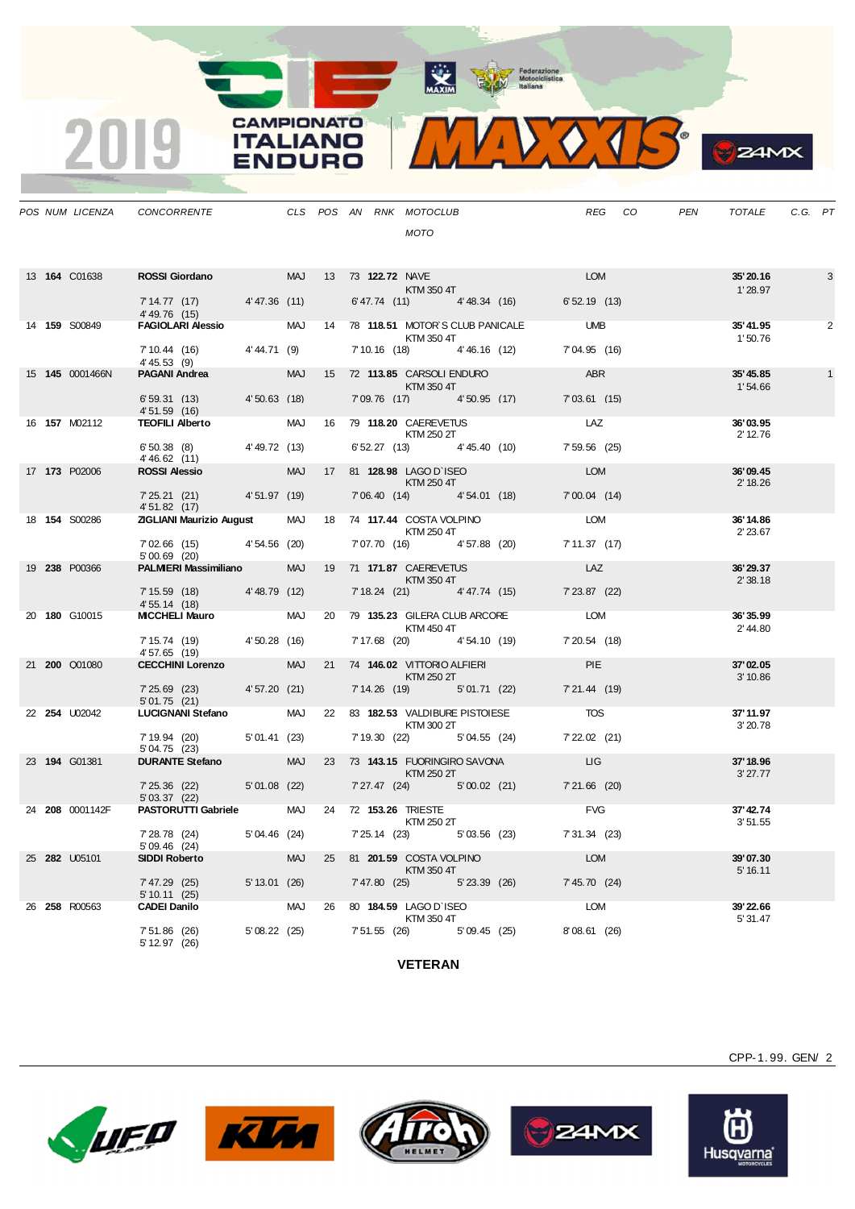MAXIM Rederazione



**B**<sub>z</sub>amx

|  |                       | POS NUM LICENZA CONCORRENTE                                                                                                          |            |  |  | CLS POS AN RNK MOTOCLUB                                                                                                                                                                                                                                                                                                                                                                                                                                                                    |                                           |                       | REG CO | PEN | TOTALE               | C.G. PT |   |
|--|-----------------------|--------------------------------------------------------------------------------------------------------------------------------------|------------|--|--|--------------------------------------------------------------------------------------------------------------------------------------------------------------------------------------------------------------------------------------------------------------------------------------------------------------------------------------------------------------------------------------------------------------------------------------------------------------------------------------------|-------------------------------------------|-----------------------|--------|-----|----------------------|---------|---|
|  |                       |                                                                                                                                      |            |  |  | <b>MOTO</b>                                                                                                                                                                                                                                                                                                                                                                                                                                                                                |                                           |                       |        |     |                      |         |   |
|  |                       |                                                                                                                                      |            |  |  |                                                                                                                                                                                                                                                                                                                                                                                                                                                                                            |                                           |                       |        |     |                      |         |   |
|  | 13 <b>164 C</b> 01638 | <b>ROSSI Giordano</b> MAJ 13 73 <b>122.72</b> NAVE<br>KTM 350 4T<br>7'14.77 (17) 4'47.36 (11) 6'47.74 (11) 4'48.34 (16) 6'52.19 (13) |            |  |  |                                                                                                                                                                                                                                                                                                                                                                                                                                                                                            |                                           |                       |        |     | 35'20.16<br>1'28.97  |         | 3 |
|  |                       | 4'49.76 (15)                                                                                                                         |            |  |  |                                                                                                                                                                                                                                                                                                                                                                                                                                                                                            |                                           |                       |        |     |                      |         |   |
|  | 14 <b>159</b> S00849  | FAGIOLARI Alessio MAJ 14 78 118.51 MOTOR'S CLUB PANICALE UMB                                                                         |            |  |  | <b>KTM 350 4T</b>                                                                                                                                                                                                                                                                                                                                                                                                                                                                          |                                           |                       |        |     | 35'41.95<br>1'50.76  |         | 2 |
|  |                       | 7' 10.44 (16) 4' 44.71 (9)<br>4'45.53 (9)                                                                                            |            |  |  |                                                                                                                                                                                                                                                                                                                                                                                                                                                                                            | 7'10.16 (18) 4'46.16 (12) 7'04.95 (16)    |                       |        |     |                      |         |   |
|  | 15 145 0001466N       | <b>PAGANI Andrea</b>                                                                                                                 |            |  |  | MAJ 15 72 113.85 CARSOLI ENDURO<br><b>Example 2018 KTM 350 4T</b>                                                                                                                                                                                                                                                                                                                                                                                                                          |                                           | ABR                   |        |     | 35' 45.85<br>1'54.66 |         |   |
|  |                       | 6' 59.31 (13) 4' 50.63 (18)<br>4' 51.59 (16)                                                                                         |            |  |  |                                                                                                                                                                                                                                                                                                                                                                                                                                                                                            | 7'09.76 (17) 4'50.95 (17)                 | 7'03.61(15)           |        |     |                      |         |   |
|  | 16 <b>157</b> M02112  | TEOFILI Alberto MAJ 16 79 118.20 CAEREVETUS LAZ                                                                                      |            |  |  | <b>KTM 250 2T</b>                                                                                                                                                                                                                                                                                                                                                                                                                                                                          |                                           |                       |        |     | 36'03.95<br>2' 12.76 |         |   |
|  |                       | $6'50.38$ (8) $4'49.72$ (13)<br>4'46.62 (11)                                                                                         |            |  |  |                                                                                                                                                                                                                                                                                                                                                                                                                                                                                            | $6'52.27$ (13) $4'45.40$ (10)             | 7' 59.56 (25)         |        |     |                      |         |   |
|  | 17 173 P02006         | <b>ROSSI Alessio</b>                                                                                                                 |            |  |  | MAJ 17 81 128.98 LAGO D'ISEO<br><b>EXTM 250 4T</b>                                                                                                                                                                                                                                                                                                                                                                                                                                         |                                           | LOM                   |        |     | 36'09.45<br>2' 18.26 |         |   |
|  |                       | $7'25.21$ (21) $4'51.97$ (19)<br>4' 51.82 (17)                                                                                       |            |  |  |                                                                                                                                                                                                                                                                                                                                                                                                                                                                                            | 7'06.40 (14) 4'54.01 (18)                 | $7'00.04$ (14)        |        |     |                      |         |   |
|  | 18 154 S00286         | 451.82 (17)<br><b>ZIGLIANI Maurizio August</b> MAJ 18 74 <b>117.44</b> COSTA VOLPINO <b>CONTING CONTINGLIAN</b>                      |            |  |  | <b>KTM 250 4T</b>                                                                                                                                                                                                                                                                                                                                                                                                                                                                          |                                           |                       |        |     | 36'14.86<br>2' 23.67 |         |   |
|  |                       | $7'02.66$ (15) $4'54.56$ (20)<br>5'00.69 (20)                                                                                        |            |  |  |                                                                                                                                                                                                                                                                                                                                                                                                                                                                                            | 7'07.70 (16) 4'57.88 (20)                 | 7'11.37 (17)          |        |     |                      |         |   |
|  | 19 238 P00366         | <b>PALMIERI Massimiliano</b>                                                                                                         |            |  |  | MAJ 19 71 171.87 CAEREVETUS<br><b>Example 25 KTM 350 4T</b>                                                                                                                                                                                                                                                                                                                                                                                                                                |                                           | LAZ                   |        |     | 36'29.37<br>2'38.18  |         |   |
|  |                       | 7' 15.59 (18) 4' 48.79 (12)<br>4' 55.14 (18)                                                                                         |            |  |  | 7' 18.24 (21) 4' 47.74 (15)                                                                                                                                                                                                                                                                                                                                                                                                                                                                |                                           | 7' 23.87 (22)         |        |     |                      |         |   |
|  | 20 180 G10015         | MICCHELI Mauro MAJ                                                                                                                   |            |  |  | <b>KTM 450 4T</b>                                                                                                                                                                                                                                                                                                                                                                                                                                                                          | 20 79 135.23 GILERA CLUB ARCORE LOM       |                       |        |     | 36'35.99<br>2'44.80  |         |   |
|  |                       | 7' 15.74 (19) 4' 50.28 (16)<br>4'57.65 (19)                                                                                          |            |  |  |                                                                                                                                                                                                                                                                                                                                                                                                                                                                                            | 7' 17.68 (20) 4' 54.10 (19)               | 7' 20.54 (18)         |        |     |                      |         |   |
|  | 21 200 Q01080         | CECCHINI Lorenzo MAJ 21 74 146.02 VITTORIO ALFIERI                                                                                   |            |  |  | $\blacksquare$ $\blacksquare$ $\blacksquare$ $\blacksquare$ $\blacksquare$ $\blacksquare$ $\blacksquare$ $\blacksquare$ $\blacksquare$ $\blacksquare$ $\blacksquare$ $\blacksquare$ $\blacksquare$ $\blacksquare$ $\blacksquare$ $\blacksquare$ $\blacksquare$ $\blacksquare$ $\blacksquare$ $\blacksquare$ $\blacksquare$ $\blacksquare$ $\blacksquare$ $\blacksquare$ $\blacksquare$ $\blacksquare$ $\blacksquare$ $\blacksquare$ $\blacksquare$ $\blacksquare$ $\blacksquare$ $\blacks$ |                                           | <b>Example 19 PIE</b> |        |     | 37'02.05<br>3' 10.86 |         |   |
|  |                       | 7'25.69 (23) 4'57.20 (21)<br>5' 01.75 (21)                                                                                           |            |  |  |                                                                                                                                                                                                                                                                                                                                                                                                                                                                                            | 7' 14.26 (19) 5' 01.71 (22)               | 7'21.44 (19)          |        |     |                      |         |   |
|  | 22 254 U02042         | LUCIGNANI Stefano MAJ 22 83 182.53 VALDIBURE PISTOIESE                                                                               |            |  |  | <b>KTM 300 2T</b>                                                                                                                                                                                                                                                                                                                                                                                                                                                                          |                                           | <b>TOS</b>            |        |     | 37' 11.97<br>3'20.78 |         |   |
|  |                       | 7' 19.94 (20) 5' 01.41 (23)<br>5'04.75 (23)                                                                                          |            |  |  |                                                                                                                                                                                                                                                                                                                                                                                                                                                                                            | 7' 19.30 (22) 5' 04.55 (24) 7' 22.02 (21) |                       |        |     |                      |         |   |
|  | 23 194 G01381         | DURANTE Stefano MAJ                                                                                                                  |            |  |  |                                                                                                                                                                                                                                                                                                                                                                                                                                                                                            | 23 73 143.15 FUORINGIRO SAVONA LIG        |                       |        |     | 37' 18.96            |         |   |
|  |                       | 7' 25.36 (22) 5' 01.08 (22)<br>5'03.37(22)                                                                                           |            |  |  | $\blacksquare$ $\blacksquare$ $\blacksquare$ $\blacksquare$ $\blacksquare$ $\blacksquare$ $\blacksquare$ $\blacksquare$ $\blacksquare$ $\blacksquare$ $\blacksquare$ $\blacksquare$ $\blacksquare$ $\blacksquare$ $\blacksquare$                                                                                                                                                                                                                                                           | 7'27.47 (24) 5'00.02 (21) 7'21.66 (20)    |                       |        |     | 3'27.77              |         |   |
|  | 24 208 0001142F       | PASTORUTTI Gabriele MAJ 24 72 153.26 TRIESTE<br>KTM 250 2T                                                                           |            |  |  |                                                                                                                                                                                                                                                                                                                                                                                                                                                                                            |                                           | <b>FVG</b>            |        |     | 37' 42.74<br>3'51.55 |         |   |
|  |                       | $7'28.78$ (24) $5'04.46$ (24)<br>5' 09.46 (24)                                                                                       |            |  |  |                                                                                                                                                                                                                                                                                                                                                                                                                                                                                            | 7' 25.14 (23) 5' 03.56 (23)               | 7' 31.34 (23)         |        |     |                      |         |   |
|  | 25 282 U05101         | <b>SIDDI Roberto</b>                                                                                                                 | <b>MAJ</b> |  |  | <b>Example 25 KTM 350 4T</b>                                                                                                                                                                                                                                                                                                                                                                                                                                                               | 25 81 201.59 COSTA VOLPINO LOM            |                       |        |     | 39'07.30<br>5' 16.11 |         |   |
|  |                       | 7' 47.29 (25) 5' 13.01 (26)<br>5' 10.11 (25)                                                                                         |            |  |  | 7' 47.80 (25) 5' 23.39 (26)                                                                                                                                                                                                                                                                                                                                                                                                                                                                |                                           | 7' 45.70 (24)         |        |     |                      |         |   |
|  | 26 258 R00563         | <b>CADEI Danilo</b>                                                                                                                  |            |  |  | MAJ 26 80 184.59 LAGO D'ISEO                                                                                                                                                                                                                                                                                                                                                                                                                                                               |                                           | LOM                   |        |     | 39'22.66<br>5' 31.47 |         |   |
|  |                       | 7' 51.86 (26)<br>5' 12.97 (26)                                                                                                       |            |  |  |                                                                                                                                                                                                                                                                                                                                                                                                                                                                                            | 5' 08.22 (25) 7' 51.55 (26) 5' 09.45 (25) | 8'08.61 (26)          |        |     |                      |         |   |

**CAMPIONATO** 

**ITALIANO** 

**ENDURO** 

2019

**VETERAN**











CPP-1. 99. GEN/ 2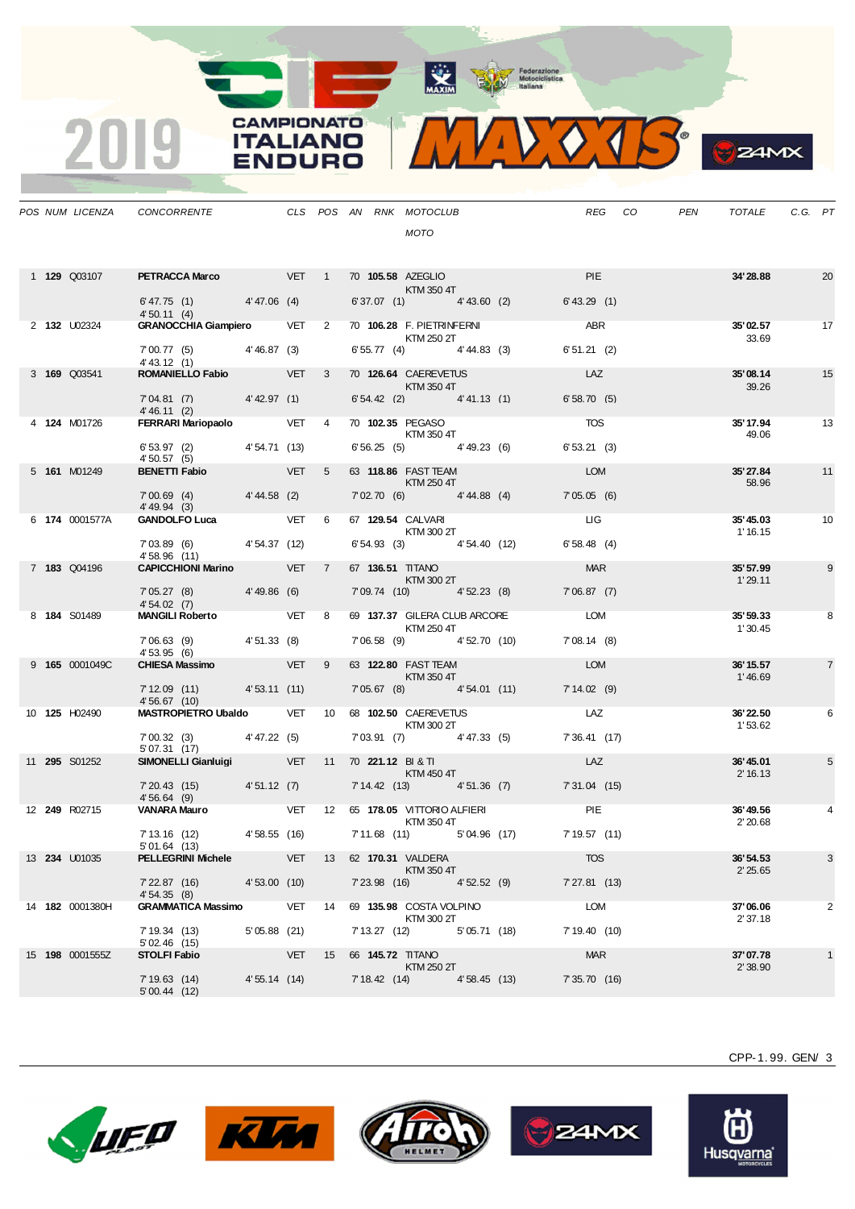MAXIM Pederazione



**B**<sub>z</sub>amx

|  |                        | POS NUM LICENZA CONCORRENTE THE CLS POS AN RNK MOTOCLUB             |              |                |  |                                                     |                                          | REG              | CO <sub>.</sub> | PEN | TOTALE               | C.G. PT |                |
|--|------------------------|---------------------------------------------------------------------|--------------|----------------|--|-----------------------------------------------------|------------------------------------------|------------------|-----------------|-----|----------------------|---------|----------------|
|  |                        |                                                                     |              |                |  | <b>MOTO</b>                                         |                                          |                  |                 |     |                      |         |                |
|  | 1 <b>129</b> Q03107    | <b>PETRACCA Marco</b> VET 1 70 105.58 AZEGLIO                       |              |                |  | KTM 350 4T                                          |                                          | <b>PIE</b>       |                 |     | 34'28.88             |         | 20             |
|  |                        | $6' 47.75$ (1) $4' 47.06$ (4)<br>4'50.11(4)                         |              |                |  |                                                     | 6'37.07 (1) 4'43.60 (2) 6'43.29 (1)      |                  |                 |     |                      |         |                |
|  | 2 <b>132</b> U02324    | <b>GRANOCCHIA Giampiero</b> VET 2                                   |              |                |  | 70 106.28 F. PIETRINFERNI<br>KTM 250 2T             |                                          | ABR <sub>2</sub> |                 |     | 35'02.57<br>33.69    |         | 17             |
|  |                        | 7'00.77 (5) 4'46.87 (3)<br>4' 43.12(1)                              |              |                |  | $6'55.77$ (4) $4'44.83$ (3)                         |                                          | 6'51.21(2)       |                 |     |                      |         |                |
|  | 3 169 Q03541           | <b>ROMANIELLO Fabio</b> VET 3                                       |              |                |  | 70 126.64 CAEREVETUS<br>KTM 350 4T                  |                                          | LAZ              |                 |     | 35'08.14<br>39.26    |         | 15             |
|  |                        | 7'04.81 (7) 4'42.97 (1)<br>4' 46.11 (2)                             |              |                |  | $6'54.42$ (2) $4'41.13$ (1)                         |                                          | 6'58.70(5)       |                 |     |                      |         |                |
|  | 4 <b>124</b> M01726    | FERRARI Mariopaolo VET 4                                            |              |                |  | 70 102.35 PEGASO<br>KTM 350 4T                      |                                          | <b>TOS</b>       |                 |     | 35' 17.94<br>49.06   |         | 13             |
|  |                        | $6'53.97$ (2) $4'54.71$ (13)<br>4' 50.57 (5)                        |              |                |  | $6'56.25(5)$ 4'49.23(6)                             |                                          | 6'53.21(3)       |                 |     |                      |         |                |
|  | 5 161 M01249           | <b>BENETTI Fabio</b> VET                                            |              | 5 <sup>5</sup> |  | 63 118.86 FAST TEAM<br>KTM 250 4T                   |                                          | <b>LOM</b>       |                 |     | 35'27.84<br>58.96    |         | 11             |
|  |                        | 7'00.69 (4) 4'44.58 (2)<br>4' 49.94 (3)                             |              |                |  | 7'02.70 (6) 4'44.88 (4)                             |                                          | 7'05.05(6)       |                 |     |                      |         |                |
|  | 6 174 0001577A         | GANDOLFO Luca VET 6                                                 |              |                |  | 67 129.54 CALVARI<br><b>KTM 300 2T</b>              |                                          | <b>LIG</b>       |                 |     | 35'45.03<br>1' 16.15 |         | 10             |
|  |                        | 7'03.89 (6) 4'54.37 (12)<br>4'58.96 (11)                            |              |                |  | 6' 54.93 (3) 4' 54.40 (12)                          |                                          | 6'58.48(4)       |                 |     |                      |         |                |
|  | 7 183 Q04196           | <b>CAPICCHIONI Marino</b> VET 7                                     |              |                |  | 67 136.51 TITANO<br>KTM 300 2T                      |                                          | <b>MAR</b>       |                 |     | 35'57.99<br>1'29.11  |         | 9              |
|  |                        | 7' 05.27 (8) 4' 49.86 (6)<br>4'54.02(7)                             |              |                |  | 7'09.74 (10) 4'52.23 (8)                            |                                          | 7'06.87(7)       |                 |     |                      |         |                |
|  | 8 184 S01489           | MANGILI Roberto VET 8                                               |              |                |  | 69 137.37 GILERA CLUB ARCORE<br>KTM 250 4T          |                                          | <b>LOM</b>       |                 |     | 35' 59.33<br>1'30.45 |         | 8              |
|  |                        | 7'06.63 (9) 4'51.33 (8)<br>4'53.95(6)                               |              |                |  | 7'06.58 (9) 4'52.70 (10)                            |                                          | 7'08.14(8)       |                 |     |                      |         |                |
|  | 9 165 0001049C         | CHIESA Massimo VET 9                                                |              |                |  | 63 122.80 FAST TEAM<br>KTM 350 4T                   |                                          | <b>LOM</b>       |                 |     | 36' 15.57<br>1'46.69 |         | $\overline{7}$ |
|  |                        | 7' 12.09 (11) 4' 53.11 (11)<br>4'56.67(10)                          |              |                |  | 7'05.67 (8) 4'54.01 (11)                            |                                          | 7'14.02(9)       |                 |     |                      |         |                |
|  | 10 125 H02490          | MASTROPIETRO Ubaldo VET 10 68 102.50 CAEREVETUS                     |              |                |  | KTM 300 2T                                          |                                          | LAZ              |                 |     | 36'22.50<br>1'53.62  |         | 6              |
|  |                        | $7'00.32$ (3) $4'47.22$ (5)<br>5'07.31(17)                          |              |                |  | 7'03.91 (7) 4'47.33 (5)                             |                                          | 7'36.41 (17)     |                 |     |                      |         |                |
|  | 11 <b>295</b> S01252   | SIMONELLI Gianluigi VET 11 70 221.12 BI & TI                        |              |                |  | <b>Example 2018 KTM 450 4T</b>                      |                                          | LAZ              |                 |     | 36'45.01<br>2' 16.13 |         | 5              |
|  |                        | 7'20.43 (15) 4'51.12 (7)<br>4'56.64(9)                              |              |                |  |                                                     | 7' 14.42 (13) 4' 51.36 (7) 7' 31.04 (15) |                  |                 |     |                      |         |                |
|  | 12 249 R02715          |                                                                     |              |                |  | <b>KTM 350 4T</b>                                   |                                          |                  |                 |     | 36'49.56             |         | 4              |
|  |                        | 7'13.16 (12) 4'58.55 (16) 7'11.68 (11) 5'04.96 (17)<br>5'01.64 (13) |              |                |  |                                                     |                                          | 7'19.57(11)      |                 |     | 2'20.68              |         |                |
|  | 13 <b>234 U01035</b>   | <b>PELLEGRINI Michele VET</b> 13 62 170.31 VALDERA                  |              |                |  | KTM 350 4T                                          |                                          | <b>TOS</b>       |                 |     | 36'54.53<br>2'25.65  |         | 3              |
|  |                        | 7' 22.87 (16)<br>4'54.35(8)                                         | 4'53.00(10)  |                |  | 7'23.98 (16) 4'52.52 (9)                            |                                          | 7'27.81 (13)     |                 |     |                      |         |                |
|  | 14 182 0001380H        | GRAMMATICA Massimo $VET$ 14 69 135.98 COSTA VOLPINO                 |              |                |  |                                                     |                                          | LOM              |                 |     | 37'06.06             |         | 2              |
|  |                        | 7' 19.34 (13)<br>5'02.46(15)                                        | 5'05.88 (21) |                |  | KTM 300 2T<br>7' 13.27 (12) 5' 05.71 (18)           |                                          | 7'19.40(10)      |                 |     | 2'37.18              |         |                |
|  | 15 <b>198</b> 0001555Z | <b>STOLFI Fabio</b>                                                 |              |                |  | <b>VET 15 66 145.72 TITANO</b><br><b>KTM 250 2T</b> |                                          | <b>MAR</b>       |                 |     | 37'07.78<br>2'38.90  |         | $\mathbf{1}$   |
|  |                        | 7' 19.63 (14)<br>5'00.44(12)                                        | 4'55.14 (14) |                |  | 7' 18.42 (14) 4' 58.45 (13)                         |                                          | 7' 35.70 (16)    |                 |     |                      |         |                |

CAMPIONATO

**ITALIANO** 

**ENDURO** 

2019









CPP-1. 99. GEN/ 3